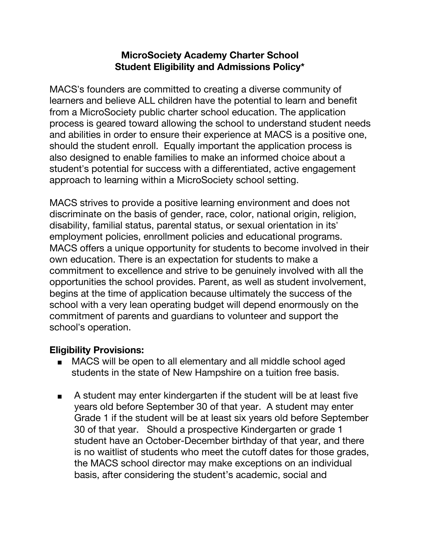## **MicroSociety Academy Charter School Student Eligibility and Admissions Policy\***

MACS's founders are committed to creating a diverse community of learners and believe ALL children have the potential to learn and benefit from a MicroSociety public charter school education. The application process is geared toward allowing the school to understand student needs and abilities in order to ensure their experience at MACS is a positive one, should the student enroll. Equally important the application process is also designed to enable families to make an informed choice about a student's potential for success with a differentiated, active engagement approach to learning within a MicroSociety school setting.

MACS strives to provide a positive learning environment and does not discriminate on the basis of gender, race, color, national origin, religion, disability, familial status, parental status, or sexual orientation in its' employment policies, enrollment policies and educational programs. MACS offers a unique opportunity for students to become involved in their own education. There is an expectation for students to make a commitment to excellence and strive to be genuinely involved with all the opportunities the school provides. Parent, as well as student involvement, begins at the time of application because ultimately the success of the school with a very lean operating budget will depend enormously on the commitment of parents and guardians to volunteer and support the school's operation.

## **Eligibility Provisions:**

- MACS will be open to all elementary and all middle school aged students in the state of New Hampshire on a tuition free basis.
- A student may enter kindergarten if the student will be at least five years old before September 30 of that year. A student may enter Grade 1 if the student will be at least six years old before September 30 of that year. Should a prospective Kindergarten or grade 1 student have an October-December birthday of that year, and there is no waitlist of students who meet the cutoff dates for those grades, the MACS school director may make exceptions on an individual basis, after considering the student's academic, social and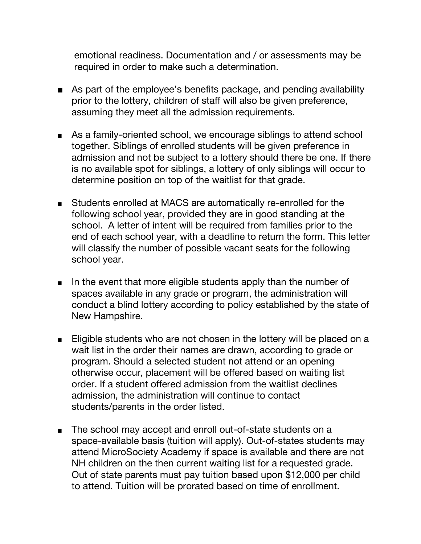emotional readiness. Documentation and / or assessments may be required in order to make such a determination.

- As part of the employee's benefits package, and pending availability prior to the lottery, children of staff will also be given preference, assuming they meet all the admission requirements.
- As a family-oriented school, we encourage siblings to attend school together. Siblings of enrolled students will be given preference in admission and not be subject to a lottery should there be one. If there is no available spot for siblings, a lottery of only siblings will occur to determine position on top of the waitlist for that grade.
- Students enrolled at MACS are automatically re-enrolled for the following school year, provided they are in good standing at the school. A letter of intent will be required from families prior to the end of each school year, with a deadline to return the form. This letter will classify the number of possible vacant seats for the following school year.
- In the event that more eligible students apply than the number of spaces available in any grade or program, the administration will conduct a blind lottery according to policy established by the state of New Hampshire.
- Eligible students who are not chosen in the lottery will be placed on a wait list in the order their names are drawn, according to grade or program. Should a selected student not attend or an opening otherwise occur, placement will be offered based on waiting list order. If a student offered admission from the waitlist declines admission, the administration will continue to contact students/parents in the order listed.
- The school may accept and enroll out-of-state students on a space-available basis (tuition will apply). Out-of-states students may attend MicroSociety Academy if space is available and there are not NH children on the then current waiting list for a requested grade. Out of state parents must pay tuition based upon \$12,000 per child to attend. Tuition will be prorated based on time of enrollment.